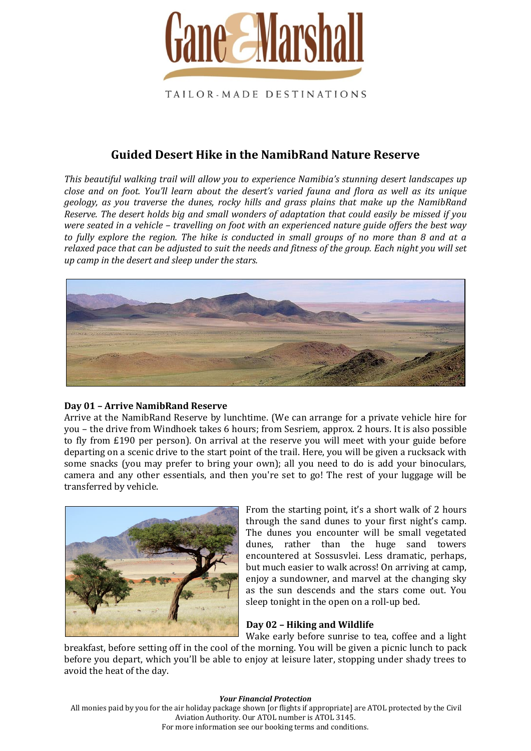

# **Guided Desert Hike in the NamibRand Nature Reserve**

*This beautiful walking trail will allow you to experience Namibia's stunning desert landscapes up close and on foot. You'll learn about the desert's varied fauna and flora as well as its unique geology, as you traverse the dunes, rocky hills and grass plains that make up the NamibRand Reserve. The desert holds big and small wonders of adaptation that could easily be missed if you were seated in a vehicle – travelling on foot with an experienced nature guide offers the best way to fully explore the region. The hike is conducted in small groups of no more than 8 and at a relaxed pace that can be adjusted to suit the needs and fitness of the group. Each night you will set up camp in the desert and sleep under the stars.*



### **Day 01 – Arrive NamibRand Reserve**

Arrive at the NamibRand Reserve by lunchtime. (We can arrange for a private vehicle hire for you – the drive from Windhoek takes 6 hours; from Sesriem, approx. 2 hours. It is also possible to fly from £190 per person). On arrival at the reserve you will meet with your guide before departing on a scenic drive to the start point of the trail. Here, you will be given a rucksack with some snacks (you may prefer to bring your own); all you need to do is add your binoculars, camera and any other essentials, and then you're set to go! The rest of your luggage will be transferred by vehicle.



From the starting point, it's a short walk of 2 hours through the sand dunes to your first night's camp. The dunes you encounter will be small vegetated dunes, rather than the huge sand towers encountered at Sossusvlei. Less dramatic, perhaps, but much easier to walk across! On arriving at camp, enjoy a sundowner, and marvel at the changing sky as the sun descends and the stars come out. You sleep tonight in the open on a roll-up bed.

## **Day 02 – Hiking and Wildlife**

Wake early before sunrise to tea, coffee and a light breakfast, before setting off in the cool of the morning. You will be given a picnic lunch to pack before you depart, which you'll be able to enjoy at leisure later, stopping under shady trees to avoid the heat of the day.

#### *Your Financial Protection*

All monies paid by you for the air holiday package shown [or flights if appropriate] are ATOL protected by the Civil Aviation Authority. Our ATOL number is ATOL 3145. For more information see our booking terms and conditions.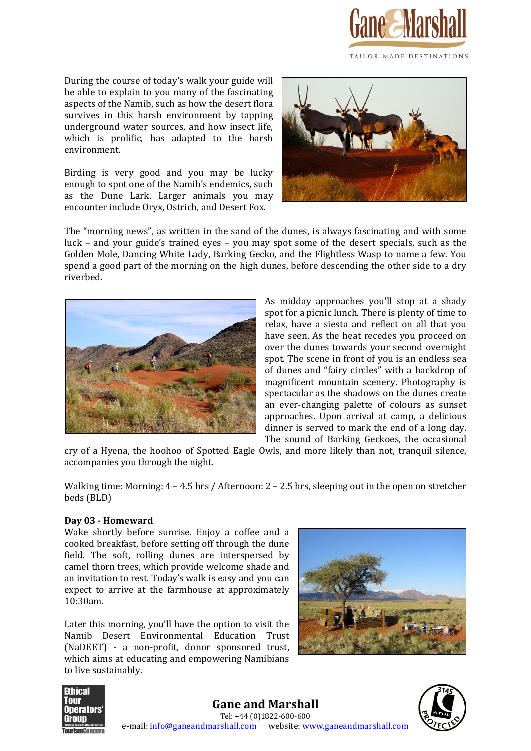

During the course of today's walk your guide will be able to explain to you many of the fascinating aspects of the Namib, such as how the desert flora survives in this harsh environment by tapping underground water sources, and how insect life, which is prolific, has adapted to the harsh environment.

Birding is very good and you may be lucky enough to spot one of the Namib's endemics, such as the Dune Lark. Larger animals you may encounter include Oryx, Ostrich, and Desert Fox.



The "morning news", as written in the sand of the dunes, is always fascinating and with some luck – and your guide's trained eyes – you may spot some of the desert specials, such as the Golden Mole, Dancing White Lady, Barking Gecko, and the Flightless Wasp to name a few. You spend a good part of the morning on the high dunes, before descending the other side to a dry riverbed.



As midday approaches you'll stop at a shady spot for a picnic lunch. There is plenty of time to relax, have a siesta and reflect on all that you have seen. As the heat recedes you proceed on over the dunes towards your second overnight spot. The scene in front of you is an endless sea of dunes and "fairy circles" with a backdrop of magnificent mountain scenery. Photography is spectacular as the shadows on the dunes create an ever-changing palette of colours as sunset approaches. Upon arrival at camp, a delicious dinner is served to mark the end of a long day. The sound of Barking Geckoes, the occasional

cry of a Hyena, the hoohoo of Spotted Eagle Owls, and more likely than not, tranquil silence, accompanies you through the night.

Walking time: Morning:  $4 - 4.5$  hrs / Afternoon:  $2 - 2.5$  hrs, sleeping out in the open on stretcher beds (BLD)

### **Day 03 - Homeward**

Wake shortly before sunrise. Enjoy a coffee and a cooked breakfast, before setting off through the dune field. The soft, rolling dunes are interspersed by camel thorn trees, which provide welcome shade and an invitation to rest. Today's walk is easy and you can expect to arrive at the farmhouse at approximately 10:30am.

Later this morning, you'll have the option to visit the Namib Desert Environmental Education Trust (NaDEET) - a non-profit, donor sponsored trust, which aims at educating and empowering Namibians to live sustainably.





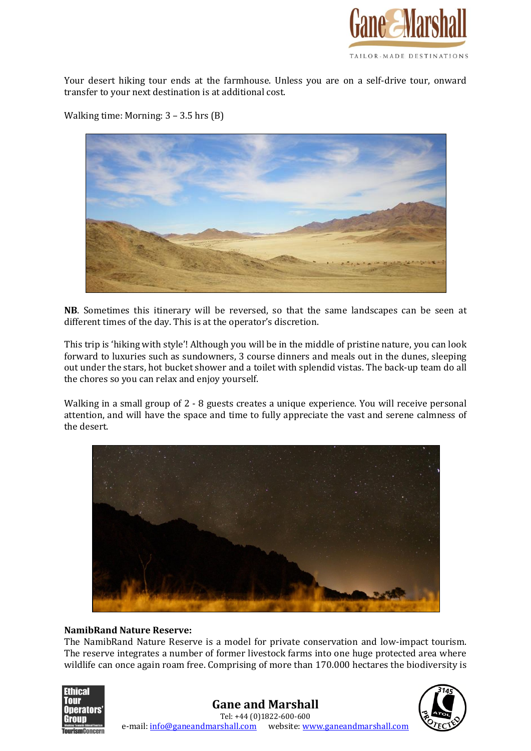

Your desert hiking tour ends at the farmhouse. Unless you are on a self-drive tour, onward transfer to your next destination is at additional cost.

Walking time: Morning: 3 – 3.5 hrs (B)



**NB**. Sometimes this itinerary will be reversed, so that the same landscapes can be seen at different times of the day. This is at the operator's discretion.

This trip is 'hiking with style'! Although you will be in the middle of pristine nature, you can look forward to luxuries such as sundowners, 3 course dinners and meals out in the dunes, sleeping out under the stars, hot bucket shower and a toilet with splendid vistas. The back-up team do all the chores so you can relax and enjoy yourself.

Walking in a small group of 2 - 8 guests creates a unique experience. You will receive personal attention, and will have the space and time to fully appreciate the vast and serene calmness of the desert.



#### **NamibRand Nature Reserve:**

The NamibRand Nature Reserve is a model for private conservation and low-impact tourism. The reserve integrates a number of former livestock farms into one huge protected area where wildlife can once again roam free. Comprising of more than 170.000 hectares the biodiversity is



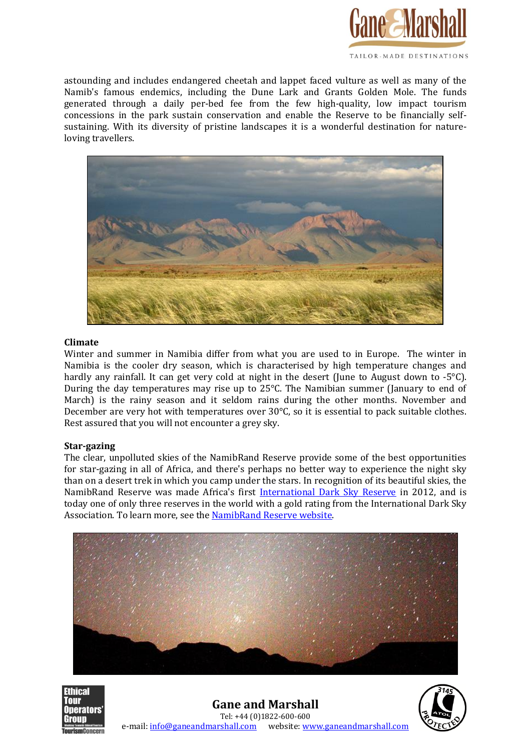

astounding and includes endangered cheetah and lappet faced vulture as well as many of the Namib's famous endemics, including the Dune Lark and Grants Golden Mole. The funds generated through a daily per-bed fee from the few high-quality, low impact tourism concessions in the park sustain conservation and enable the Reserve to be financially selfsustaining. With its diversity of pristine landscapes it is a wonderful destination for natureloving travellers.



#### **Climate**

Winter and summer in Namibia differ from what you are used to in Europe. The winter in Namibia is the cooler dry season, which is characterised by high temperature changes and hardly any rainfall. It can get very cold at night in the desert (June to August down to -5°C). During the day temperatures may rise up to 25°C. The Namibian summer (January to end of March) is the rainy season and it seldom rains during the other months. November and December are very hot with temperatures over 30°C, so it is essential to pack suitable clothes. Rest assured that you will not encounter a grey sky.

### **Star-gazing**

The clear, unpolluted skies of the NamibRand Reserve provide some of the best opportunities for star-gazing in all of Africa, and there's perhaps no better way to experience the night sky than on a desert trek in which you camp under the stars. In recognition of its beautiful skies, the NamibRand Reserve was made Africa's first [International Dark Sky Reserve](http://www.darksky.org/international-dark-sky-places/about-ids-places/reserves) in 2012, and is today one of only three reserves in the world with a gold rating from the International Dark Sky Association. To learn more, see th[e NamibRand Reserve website.](http://www.namibrand.com/Conservation.htm)